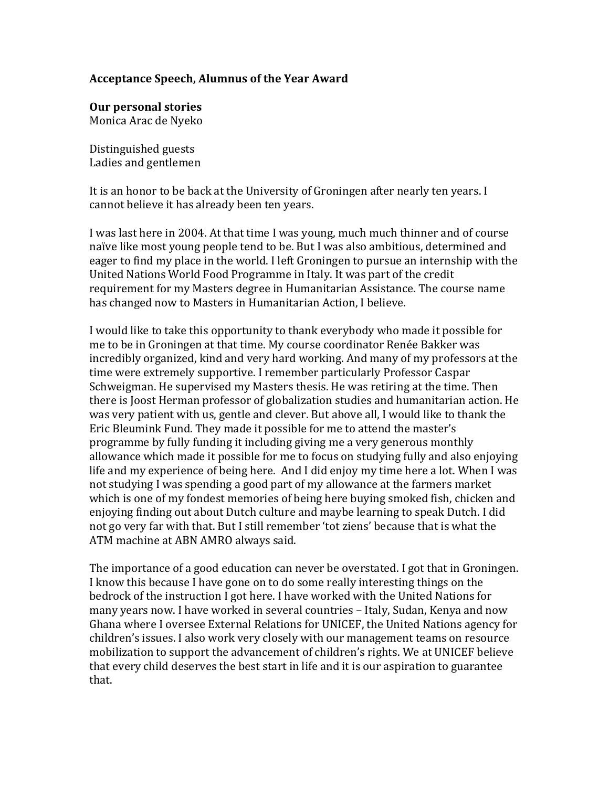## **Acceptance Speech, Alumnus of the Year Award**

**Our personal stories**  Monica Arac de Nyeko

Distinguished guests Ladies and gentlemen

It is an honor to be back at the University of Groningen after nearly ten years. I cannot believe it has already been ten years.

I was last here in 2004. At that time I was young, much much thinner and of course naïve like most young people tend to be. But I was also ambitious, determined and eager to find my place in the world. I left Groningen to pursue an internship with the United Nations World Food Programme in Italy. It was part of the credit requirement for my Masters degree in Humanitarian Assistance. The course name has changed now to Masters in Humanitarian Action, I believe.

I would like to take this opportunity to thank everybody who made it possible for me to be in Groningen at that time. My course coordinator Renée Bakker was incredibly organized, kind and very hard working. And many of my professors at the time were extremely supportive. I remember particularly Professor Caspar Schweigman. He supervised my Masters thesis. He was retiring at the time. Then there is Joost Herman professor of globalization studies and humanitarian action. He was very patient with us, gentle and clever. But above all, I would like to thank the Eric Bleumink Fund. They made it possible for me to attend the master's programme by fully funding it including giving me a very generous monthly allowance which made it possible for me to focus on studying fully and also enjoying life and my experience of being here. And I did enjoy my time here a lot. When I was not studying I was spending a good part of my allowance at the farmers market which is one of my fondest memories of being here buying smoked fish, chicken and enjoying finding out about Dutch culture and maybe learning to speak Dutch. I did not go very far with that. But I still remember 'tot ziens' because that is what the ATM machine at ABN AMRO always said.

The importance of a good education can never be overstated. I got that in Groningen. I know this because I have gone on to do some really interesting things on the bedrock of the instruction I got here. I have worked with the United Nations for many years now. I have worked in several countries – Italy, Sudan, Kenya and now Ghana where I oversee External Relations for UNICEF, the United Nations agency for children's issues. I also work very closely with our management teams on resource mobilization to support the advancement of children's rights. We at UNICEF believe that every child deserves the best start in life and it is our aspiration to guarantee that.